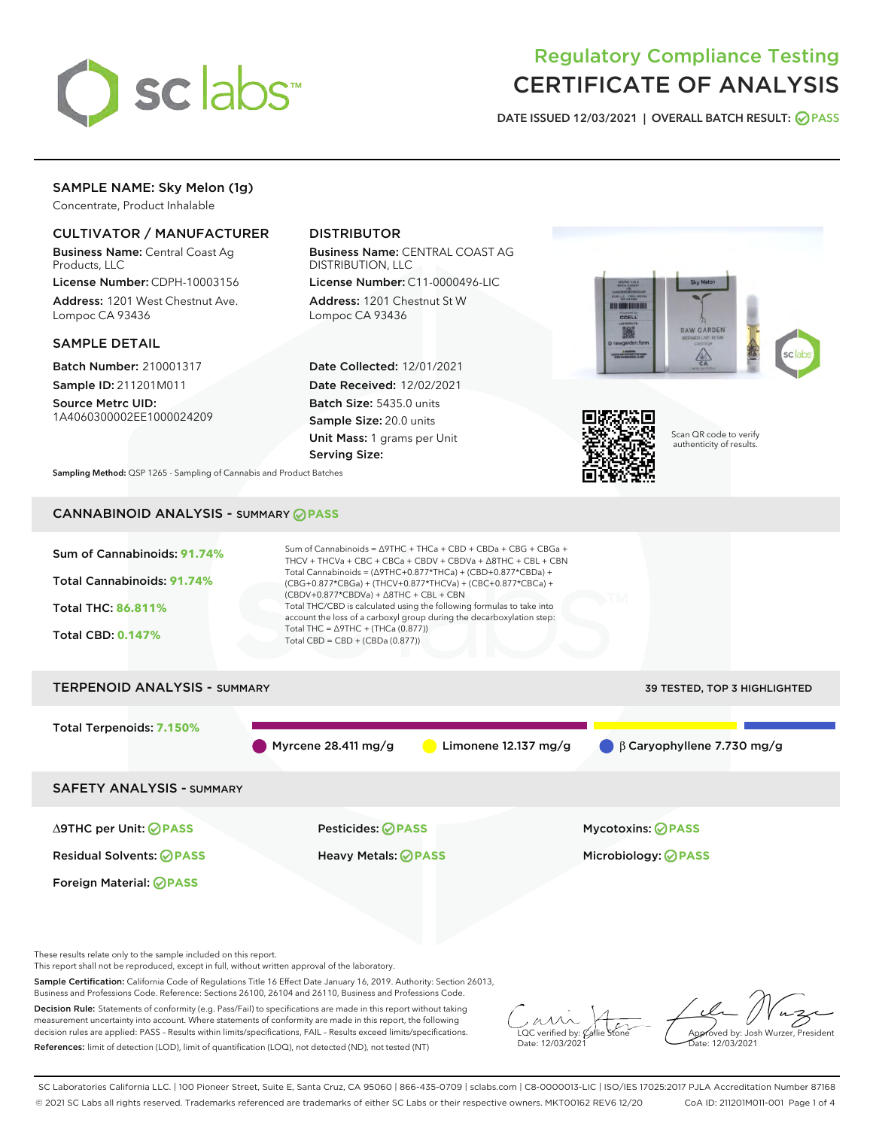

# Regulatory Compliance Testing CERTIFICATE OF ANALYSIS

DATE ISSUED 12/03/2021 | OVERALL BATCH RESULT: @ PASS

# SAMPLE NAME: Sky Melon (1g)

Concentrate, Product Inhalable

# CULTIVATOR / MANUFACTURER

Business Name: Central Coast Ag Products, LLC

License Number: CDPH-10003156 Address: 1201 West Chestnut Ave. Lompoc CA 93436

### SAMPLE DETAIL

Batch Number: 210001317 Sample ID: 211201M011

Source Metrc UID: 1A4060300002EE1000024209

# DISTRIBUTOR

Business Name: CENTRAL COAST AG DISTRIBUTION, LLC

License Number: C11-0000496-LIC Address: 1201 Chestnut St W Lompoc CA 93436

Date Collected: 12/01/2021 Date Received: 12/02/2021 Batch Size: 5435.0 units Sample Size: 20.0 units Unit Mass: 1 grams per Unit Serving Size:





Scan QR code to verify authenticity of results.

Sampling Method: QSP 1265 - Sampling of Cannabis and Product Batches

# CANNABINOID ANALYSIS - SUMMARY **PASS**



This report shall not be reproduced, except in full, without written approval of the laboratory.

Sample Certification: California Code of Regulations Title 16 Effect Date January 16, 2019. Authority: Section 26013, Business and Professions Code. Reference: Sections 26100, 26104 and 26110, Business and Professions Code.

Decision Rule: Statements of conformity (e.g. Pass/Fail) to specifications are made in this report without taking measurement uncertainty into account. Where statements of conformity are made in this report, the following decision rules are applied: PASS – Results within limits/specifications, FAIL – Results exceed limits/specifications. References: limit of detection (LOD), limit of quantification (LOQ), not detected (ND), not tested (NT)

 $\overline{\text{LOC}}$  verified by:  $\mathcal{C}$ Date: 12/03/2021

Approved by: Josh Wurzer, President ate: 12/03/2021

SC Laboratories California LLC. | 100 Pioneer Street, Suite E, Santa Cruz, CA 95060 | 866-435-0709 | sclabs.com | C8-0000013-LIC | ISO/IES 17025:2017 PJLA Accreditation Number 87168 © 2021 SC Labs all rights reserved. Trademarks referenced are trademarks of either SC Labs or their respective owners. MKT00162 REV6 12/20 CoA ID: 211201M011-001 Page 1 of 4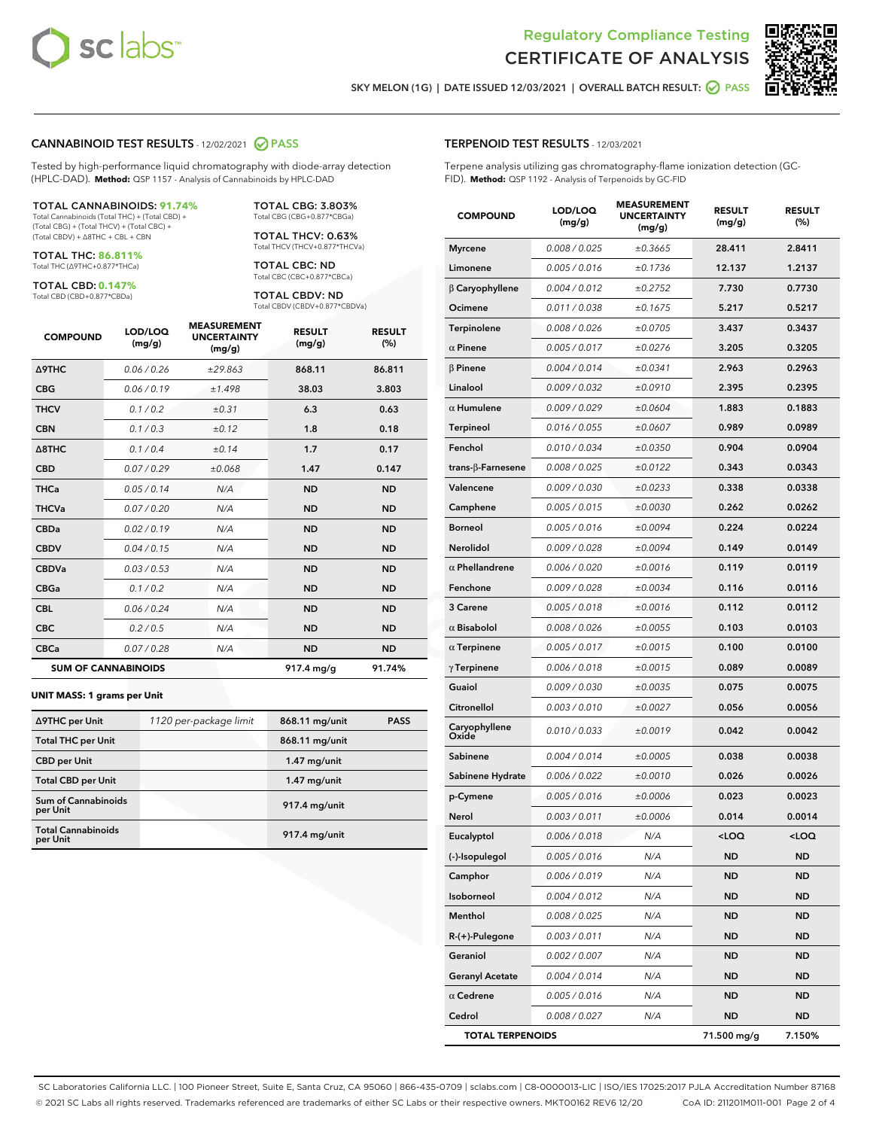

Terpene analysis utilizing gas chromatography-flame ionization detection (GC-



SKY MELON (1G) | DATE ISSUED 12/03/2021 | OVERALL BATCH RESULT:  $\bigcirc$  PASS

TERPENOID TEST RESULTS - 12/03/2021

FID). **Method:** QSP 1192 - Analysis of Terpenoids by GC-FID

### CANNABINOID TEST RESULTS - 12/02/2021 2 PASS

Tested by high-performance liquid chromatography with diode-array detection (HPLC-DAD). **Method:** QSP 1157 - Analysis of Cannabinoids by HPLC-DAD

#### TOTAL CANNABINOIDS: **91.74%**

Total Cannabinoids (Total THC) + (Total CBD) + (Total CBG) + (Total THCV) + (Total CBC) + (Total CBDV) + ∆8THC + CBL + CBN

TOTAL THC: **86.811%** Total THC (∆9THC+0.877\*THCa)

TOTAL CBD: **0.147%**

Total CBD (CBD+0.877\*CBDa)

TOTAL CBG: 3.803% Total CBG (CBG+0.877\*CBGa)

TOTAL THCV: 0.63% Total THCV (THCV+0.877\*THCVa)

TOTAL CBC: ND Total CBC (CBC+0.877\*CBCa)

TOTAL CBDV: ND Total CBDV (CBDV+0.877\*CBDVa)

| <b>COMPOUND</b>            | LOD/LOQ<br>(mg/g) | <b>MEASUREMENT</b><br><b>UNCERTAINTY</b><br>(mg/g) | <b>RESULT</b><br>(mg/g) | <b>RESULT</b><br>(%) |
|----------------------------|-------------------|----------------------------------------------------|-------------------------|----------------------|
| <b>A9THC</b>               | 0.06 / 0.26       | ±29.863                                            | 868.11                  | 86.811               |
| <b>CBG</b>                 | 0.06/0.19         | ±1.498                                             | 38.03                   | 3.803                |
| <b>THCV</b>                | 0.1 / 0.2         | ±0.31                                              | 6.3                     | 0.63                 |
| <b>CBN</b>                 | 0.1/0.3           | ±0.12                                              | 1.8                     | 0.18                 |
| $\triangle$ 8THC           | 0.1 / 0.4         | ±0.14                                              | 1.7                     | 0.17                 |
| <b>CBD</b>                 | 0.07/0.29         | ±0.068                                             | 1.47                    | 0.147                |
| <b>THCa</b>                | 0.05/0.14         | N/A                                                | <b>ND</b>               | <b>ND</b>            |
| <b>THCVa</b>               | 0.07/0.20         | N/A                                                | <b>ND</b>               | <b>ND</b>            |
| <b>CBDa</b>                | 0.02/0.19         | N/A                                                | <b>ND</b>               | <b>ND</b>            |
| <b>CBDV</b>                | 0.04 / 0.15       | N/A                                                | <b>ND</b>               | <b>ND</b>            |
| <b>CBDVa</b>               | 0.03/0.53         | N/A                                                | <b>ND</b>               | <b>ND</b>            |
| <b>CBGa</b>                | 0.1/0.2           | N/A                                                | <b>ND</b>               | <b>ND</b>            |
| <b>CBL</b>                 | 0.06 / 0.24       | N/A                                                | <b>ND</b>               | <b>ND</b>            |
| <b>CBC</b>                 | 0.2 / 0.5         | N/A                                                | <b>ND</b>               | <b>ND</b>            |
| <b>CBCa</b>                | 0.07/0.28         | N/A                                                | <b>ND</b>               | <b>ND</b>            |
| <b>SUM OF CANNABINOIDS</b> |                   |                                                    | $917.4 \text{ mg/g}$    | 91.74%               |

#### **UNIT MASS: 1 grams per Unit**

| ∆9THC per Unit                         | 1120 per-package limit | 868.11 mg/unit | <b>PASS</b> |
|----------------------------------------|------------------------|----------------|-------------|
| <b>Total THC per Unit</b>              |                        | 868.11 mg/unit |             |
| <b>CBD</b> per Unit                    |                        | $1.47$ mg/unit |             |
| <b>Total CBD per Unit</b>              |                        | $1.47$ mg/unit |             |
| <b>Sum of Cannabinoids</b><br>per Unit |                        | 917.4 mg/unit  |             |
| <b>Total Cannabinoids</b><br>per Unit  |                        | 917.4 mg/unit  |             |

| <b>COMPOUND</b>         | LOD/LOQ<br>(mg/g) | <b>MEASUREMENT</b><br>UNCERTAINTY<br>(mg/g) | <b>RESULT</b><br>(mg/g)                          | <b>RESULT</b><br>(%) |
|-------------------------|-------------------|---------------------------------------------|--------------------------------------------------|----------------------|
| <b>Myrcene</b>          | 0.008 / 0.025     | ±0.3665                                     | 28.411                                           | 2.8411               |
| Limonene                | 0.005 / 0.016     | ±0.1736                                     | 12.137                                           | 1.2137               |
| $\beta$ Caryophyllene   | 0.004 / 0.012     | ±0.2752                                     | 7.730                                            | 0.7730               |
| Ocimene                 | 0.011 / 0.038     | ±0.1675                                     | 5.217                                            | 0.5217               |
| Terpinolene             | 0.008 / 0.026     | ±0.0705                                     | 3.437                                            | 0.3437               |
| $\alpha$ Pinene         | 0.005 / 0.017     | ±0.0276                                     | 3.205                                            | 0.3205               |
| $\beta$ Pinene          | 0.004 / 0.014     | ±0.0341                                     | 2.963                                            | 0.2963               |
| Linalool                | 0.009 / 0.032     | ±0.0910                                     | 2.395                                            | 0.2395               |
| $\alpha$ Humulene       | 0.009/0.029       | ±0.0604                                     | 1.883                                            | 0.1883               |
| <b>Terpineol</b>        | 0.016 / 0.055     | ±0.0607                                     | 0.989                                            | 0.0989               |
| Fenchol                 | 0.010 / 0.034     | ±0.0350                                     | 0.904                                            | 0.0904               |
| trans-β-Farnesene       | 0.008 / 0.025     | ±0.0122                                     | 0.343                                            | 0.0343               |
| Valencene               | 0.009 / 0.030     | ±0.0233                                     | 0.338                                            | 0.0338               |
| Camphene                | 0.005 / 0.015     | ±0.0030                                     | 0.262                                            | 0.0262               |
| <b>Borneol</b>          | 0.005 / 0.016     | ±0.0094                                     | 0.224                                            | 0.0224               |
| <b>Nerolidol</b>        | 0.009 / 0.028     | ±0.0094                                     | 0.149                                            | 0.0149               |
| $\alpha$ Phellandrene   | 0.006 / 0.020     | ±0.0016                                     | 0.119                                            | 0.0119               |
| Fenchone                | 0.009 / 0.028     | ±0.0034                                     | 0.116                                            | 0.0116               |
| 3 Carene                | 0.005 / 0.018     | ±0.0016                                     | 0.112                                            | 0.0112               |
| $\alpha$ Bisabolol      | 0.008 / 0.026     | ±0.0055                                     | 0.103                                            | 0.0103               |
| $\alpha$ Terpinene      | 0.005 / 0.017     | ±0.0015                                     | 0.100                                            | 0.0100               |
| $\gamma$ Terpinene      | 0.006 / 0.018     | ±0.0015                                     | 0.089                                            | 0.0089               |
| Guaiol                  | 0.009 / 0.030     | ±0.0035                                     | 0.075                                            | 0.0075               |
| Citronellol             | 0.003 / 0.010     | ±0.0027                                     | 0.056                                            | 0.0056               |
| Caryophyllene<br>Oxide  | 0.010 / 0.033     | ±0.0019                                     | 0.042                                            | 0.0042               |
| Sabinene                | 0.004 / 0.014     | ±0.0005                                     | 0.038                                            | 0.0038               |
| Sabinene Hydrate        | 0.006 / 0.022     | ±0.0010                                     | 0.026                                            | 0.0026               |
| p-Cymene                | 0.005 / 0.016     | ±0.0006                                     | 0.023                                            | 0.0023               |
| Nerol                   | 0.003 / 0.011     | ±0.0006                                     | 0.014                                            | 0.0014               |
| Eucalyptol              | 0.006 / 0.018     | N/A                                         | <loq< th=""><th><math>&lt;</math>LOQ</th></loq<> | $<$ LOQ              |
| (-)-Isopulegol          | 0.005 / 0.016     | N/A                                         | ND                                               | ND                   |
| Camphor                 | 0.006 / 0.019     | N/A                                         | ND                                               | <b>ND</b>            |
| Isoborneol              | 0.004 / 0.012     | N/A                                         | ND                                               | ND                   |
| Menthol                 | 0.008 / 0.025     | N/A                                         | ND                                               | <b>ND</b>            |
| R-(+)-Pulegone          | 0.003 / 0.011     | N/A                                         | ND                                               | <b>ND</b>            |
| Geraniol                | 0.002 / 0.007     | N/A                                         | ND                                               | ND                   |
| <b>Geranyl Acetate</b>  | 0.004 / 0.014     | N/A                                         | ND                                               | ND                   |
| $\alpha$ Cedrene        | 0.005 / 0.016     | N/A                                         | ND                                               | <b>ND</b>            |
| Cedrol                  | 0.008 / 0.027     | N/A                                         | ND                                               | ND                   |
| <b>TOTAL TERPENOIDS</b> |                   |                                             | 71.500 mg/g                                      | 7.150%               |

SC Laboratories California LLC. | 100 Pioneer Street, Suite E, Santa Cruz, CA 95060 | 866-435-0709 | sclabs.com | C8-0000013-LIC | ISO/IES 17025:2017 PJLA Accreditation Number 87168 © 2021 SC Labs all rights reserved. Trademarks referenced are trademarks of either SC Labs or their respective owners. MKT00162 REV6 12/20 CoA ID: 211201M011-001 Page 2 of 4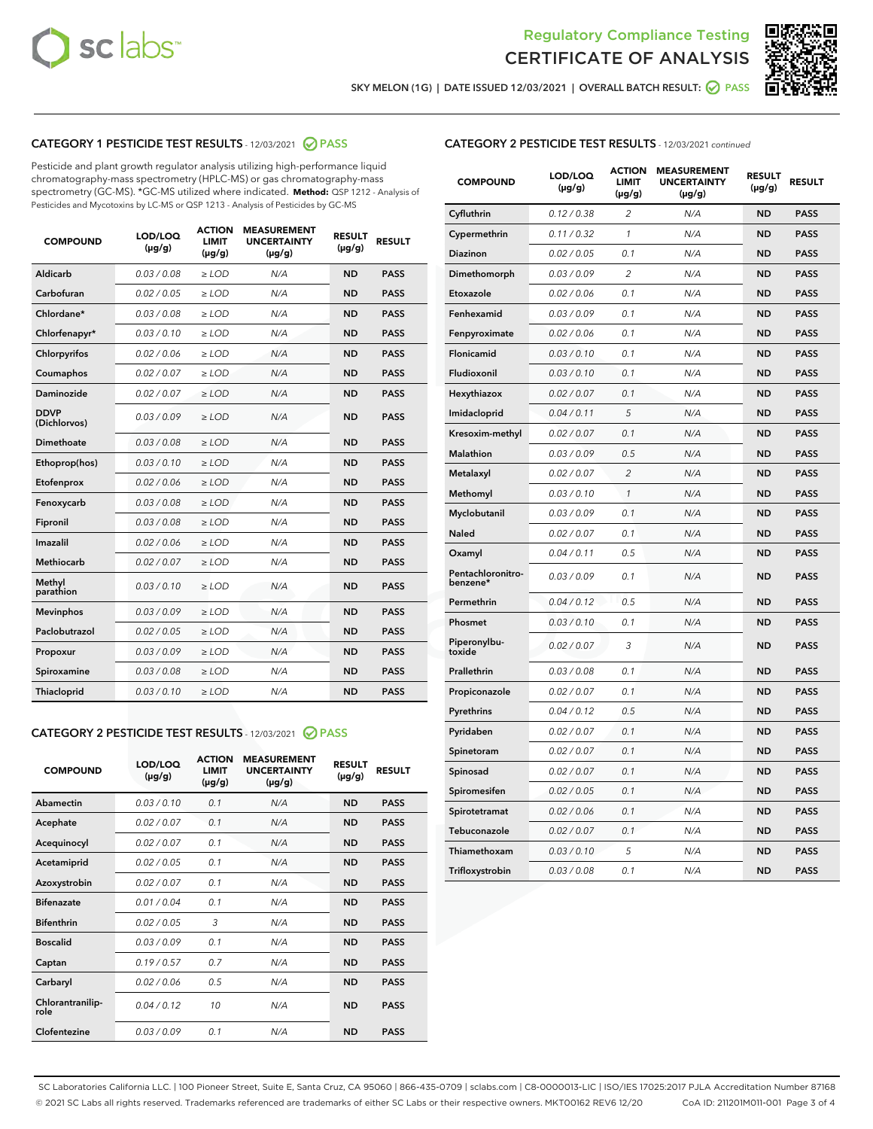



SKY MELON (1G) | DATE ISSUED 12/03/2021 | OVERALL BATCH RESULT:  $\bigcirc$  PASS

# CATEGORY 1 PESTICIDE TEST RESULTS - 12/03/2021 2 PASS

Pesticide and plant growth regulator analysis utilizing high-performance liquid chromatography-mass spectrometry (HPLC-MS) or gas chromatography-mass spectrometry (GC-MS). \*GC-MS utilized where indicated. **Method:** QSP 1212 - Analysis of Pesticides and Mycotoxins by LC-MS or QSP 1213 - Analysis of Pesticides by GC-MS

| <b>COMPOUND</b>             | LOD/LOQ<br>$(\mu g/g)$ | <b>ACTION</b><br><b>LIMIT</b><br>$(\mu g/g)$ | <b>MEASUREMENT</b><br><b>UNCERTAINTY</b><br>$(\mu g/g)$ | <b>RESULT</b><br>$(\mu g/g)$ | <b>RESULT</b> |
|-----------------------------|------------------------|----------------------------------------------|---------------------------------------------------------|------------------------------|---------------|
| Aldicarb                    | 0.03 / 0.08            | $\ge$ LOD                                    | N/A                                                     | <b>ND</b>                    | <b>PASS</b>   |
| Carbofuran                  | 0.02/0.05              | $\ge$ LOD                                    | N/A                                                     | <b>ND</b>                    | <b>PASS</b>   |
| Chlordane*                  | 0.03 / 0.08            | $\ge$ LOD                                    | N/A                                                     | <b>ND</b>                    | <b>PASS</b>   |
| Chlorfenapyr*               | 0.03/0.10              | $\ge$ LOD                                    | N/A                                                     | <b>ND</b>                    | <b>PASS</b>   |
| Chlorpyrifos                | 0.02 / 0.06            | $\ge$ LOD                                    | N/A                                                     | <b>ND</b>                    | <b>PASS</b>   |
| Coumaphos                   | 0.02 / 0.07            | $\ge$ LOD                                    | N/A                                                     | <b>ND</b>                    | <b>PASS</b>   |
| Daminozide                  | 0.02 / 0.07            | $\ge$ LOD                                    | N/A                                                     | <b>ND</b>                    | <b>PASS</b>   |
| <b>DDVP</b><br>(Dichlorvos) | 0.03/0.09              | $\ge$ LOD                                    | N/A                                                     | <b>ND</b>                    | <b>PASS</b>   |
| Dimethoate                  | 0.03 / 0.08            | $\ge$ LOD                                    | N/A                                                     | <b>ND</b>                    | <b>PASS</b>   |
| Ethoprop(hos)               | 0.03/0.10              | $\ge$ LOD                                    | N/A                                                     | <b>ND</b>                    | <b>PASS</b>   |
| Etofenprox                  | 0.02 / 0.06            | $\ge$ LOD                                    | N/A                                                     | <b>ND</b>                    | <b>PASS</b>   |
| Fenoxycarb                  | 0.03/0.08              | $\ge$ LOD                                    | N/A                                                     | <b>ND</b>                    | <b>PASS</b>   |
| Fipronil                    | 0.03/0.08              | $\ge$ LOD                                    | N/A                                                     | <b>ND</b>                    | <b>PASS</b>   |
| Imazalil                    | 0.02 / 0.06            | $\ge$ LOD                                    | N/A                                                     | <b>ND</b>                    | <b>PASS</b>   |
| <b>Methiocarb</b>           | 0.02 / 0.07            | $\ge$ LOD                                    | N/A                                                     | <b>ND</b>                    | <b>PASS</b>   |
| Methyl<br>parathion         | 0.03/0.10              | $>$ LOD                                      | N/A                                                     | <b>ND</b>                    | <b>PASS</b>   |
| <b>Mevinphos</b>            | 0.03/0.09              | $\ge$ LOD                                    | N/A                                                     | <b>ND</b>                    | <b>PASS</b>   |
| Paclobutrazol               | 0.02 / 0.05            | $\ge$ LOD                                    | N/A                                                     | <b>ND</b>                    | <b>PASS</b>   |
| Propoxur                    | 0.03/0.09              | $\ge$ LOD                                    | N/A                                                     | <b>ND</b>                    | <b>PASS</b>   |
| Spiroxamine                 | 0.03 / 0.08            | $\ge$ LOD                                    | N/A                                                     | <b>ND</b>                    | <b>PASS</b>   |
| <b>Thiacloprid</b>          | 0.03/0.10              | $\ge$ LOD                                    | N/A                                                     | <b>ND</b>                    | <b>PASS</b>   |
|                             |                        |                                              |                                                         |                              |               |

# CATEGORY 2 PESTICIDE TEST RESULTS - 12/03/2021 @ PASS

| <b>COMPOUND</b>          | LOD/LOO<br>$(\mu g/g)$ | <b>ACTION</b><br>LIMIT<br>$(\mu g/g)$ | <b>MEASUREMENT</b><br><b>UNCERTAINTY</b><br>$(\mu g/g)$ | <b>RESULT</b><br>$(\mu g/g)$ | <b>RESULT</b> |
|--------------------------|------------------------|---------------------------------------|---------------------------------------------------------|------------------------------|---------------|
| Abamectin                | 0.03/0.10              | 0.1                                   | N/A                                                     | <b>ND</b>                    | <b>PASS</b>   |
| Acephate                 | 0.02/0.07              | 0.1                                   | N/A                                                     | <b>ND</b>                    | <b>PASS</b>   |
| Acequinocyl              | 0.02/0.07              | 0.1                                   | N/A                                                     | <b>ND</b>                    | <b>PASS</b>   |
| Acetamiprid              | 0.02/0.05              | 0.1                                   | N/A                                                     | <b>ND</b>                    | <b>PASS</b>   |
| Azoxystrobin             | 0.02/0.07              | 0.1                                   | N/A                                                     | <b>ND</b>                    | <b>PASS</b>   |
| <b>Bifenazate</b>        | 0.01/0.04              | 0.1                                   | N/A                                                     | <b>ND</b>                    | <b>PASS</b>   |
| <b>Bifenthrin</b>        | 0.02 / 0.05            | 3                                     | N/A                                                     | <b>ND</b>                    | <b>PASS</b>   |
| <b>Boscalid</b>          | 0.03/0.09              | 0.1                                   | N/A                                                     | <b>ND</b>                    | <b>PASS</b>   |
| Captan                   | 0.19/0.57              | 0.7                                   | N/A                                                     | <b>ND</b>                    | <b>PASS</b>   |
| Carbaryl                 | 0.02/0.06              | 0.5                                   | N/A                                                     | <b>ND</b>                    | <b>PASS</b>   |
| Chlorantranilip-<br>role | 0.04/0.12              | 10                                    | N/A                                                     | <b>ND</b>                    | <b>PASS</b>   |
| Clofentezine             | 0.03/0.09              | 0.1                                   | N/A                                                     | <b>ND</b>                    | <b>PASS</b>   |

# CATEGORY 2 PESTICIDE TEST RESULTS - 12/03/2021 continued

| <b>COMPOUND</b>               | LOD/LOQ<br>(µg/g) | <b>ACTION</b><br><b>LIMIT</b><br>(µg/g) | <b>MEASUREMENT</b><br><b>UNCERTAINTY</b><br>(µg/g) | <b>RESULT</b><br>(µg/g) | <b>RESULT</b> |
|-------------------------------|-------------------|-----------------------------------------|----------------------------------------------------|-------------------------|---------------|
| Cyfluthrin                    | 0.12 / 0.38       | $\overline{c}$                          | N/A                                                | <b>ND</b>               | <b>PASS</b>   |
| Cypermethrin                  | 0.11 / 0.32       | 1                                       | N/A                                                | <b>ND</b>               | <b>PASS</b>   |
| <b>Diazinon</b>               | 0.02 / 0.05       | 0.1                                     | N/A                                                | <b>ND</b>               | <b>PASS</b>   |
| Dimethomorph                  | 0.03 / 0.09       | $\overline{2}$                          | N/A                                                | <b>ND</b>               | <b>PASS</b>   |
| Etoxazole                     | 0.02 / 0.06       | 0.1                                     | N/A                                                | <b>ND</b>               | <b>PASS</b>   |
| Fenhexamid                    | 0.03 / 0.09       | 0.1                                     | N/A                                                | <b>ND</b>               | <b>PASS</b>   |
| Fenpyroximate                 | 0.02 / 0.06       | 0.1                                     | N/A                                                | <b>ND</b>               | <b>PASS</b>   |
| Flonicamid                    | 0.03 / 0.10       | 0.1                                     | N/A                                                | <b>ND</b>               | <b>PASS</b>   |
| Fludioxonil                   | 0.03 / 0.10       | 0.1                                     | N/A                                                | <b>ND</b>               | <b>PASS</b>   |
| Hexythiazox                   | 0.02 / 0.07       | 0.1                                     | N/A                                                | <b>ND</b>               | <b>PASS</b>   |
| Imidacloprid                  | 0.04 / 0.11       | 5                                       | N/A                                                | <b>ND</b>               | <b>PASS</b>   |
| Kresoxim-methyl               | 0.02 / 0.07       | 0.1                                     | N/A                                                | <b>ND</b>               | <b>PASS</b>   |
| Malathion                     | 0.03 / 0.09       | 0.5                                     | N/A                                                | <b>ND</b>               | <b>PASS</b>   |
| Metalaxyl                     | 0.02 / 0.07       | $\overline{c}$                          | N/A                                                | <b>ND</b>               | <b>PASS</b>   |
| Methomyl                      | 0.03 / 0.10       | 1                                       | N/A                                                | <b>ND</b>               | <b>PASS</b>   |
| Myclobutanil                  | 0.03 / 0.09       | 0.1                                     | N/A                                                | <b>ND</b>               | <b>PASS</b>   |
| Naled                         | 0.02 / 0.07       | 0.1                                     | N/A                                                | <b>ND</b>               | <b>PASS</b>   |
| Oxamyl                        | 0.04 / 0.11       | 0.5                                     | N/A                                                | ND                      | <b>PASS</b>   |
| Pentachloronitro-<br>benzene* | 0.03 / 0.09       | 0.1                                     | N/A                                                | <b>ND</b>               | <b>PASS</b>   |
| Permethrin                    | 0.04/0.12         | 0.5                                     | N/A                                                | <b>ND</b>               | <b>PASS</b>   |
| Phosmet                       | 0.03 / 0.10       | 0.1                                     | N/A                                                | <b>ND</b>               | <b>PASS</b>   |
| Piperonylbu-<br>toxide        | 0.02 / 0.07       | 3                                       | N/A                                                | <b>ND</b>               | <b>PASS</b>   |
| Prallethrin                   | 0.03 / 0.08       | 0.1                                     | N/A                                                | <b>ND</b>               | <b>PASS</b>   |
| Propiconazole                 | 0.02 / 0.07       | 0.1                                     | N/A                                                | <b>ND</b>               | <b>PASS</b>   |
| Pyrethrins                    | 0.04 / 0.12       | 0.5                                     | N/A                                                | <b>ND</b>               | <b>PASS</b>   |
| Pyridaben                     | 0.02 / 0.07       | 0.1                                     | N/A                                                | <b>ND</b>               | <b>PASS</b>   |
| Spinetoram                    | 0.02 / 0.07       | 0.1                                     | N/A                                                | <b>ND</b>               | <b>PASS</b>   |
| Spinosad                      | 0.02 / 0.07       | 0.1                                     | N/A                                                | <b>ND</b>               | <b>PASS</b>   |
| Spiromesifen                  | 0.02 / 0.05       | 0.1                                     | N/A                                                | <b>ND</b>               | <b>PASS</b>   |
| Spirotetramat                 | 0.02 / 0.06       | 0.1                                     | N/A                                                | <b>ND</b>               | <b>PASS</b>   |
| Tebuconazole                  | 0.02 / 0.07       | 0.1                                     | N/A                                                | <b>ND</b>               | <b>PASS</b>   |
| Thiamethoxam                  | 0.03/0.10         | 5                                       | N/A                                                | <b>ND</b>               | <b>PASS</b>   |
| Trifloxystrobin               | 0.03 / 0.08       | 0.1                                     | N/A                                                | <b>ND</b>               | <b>PASS</b>   |

SC Laboratories California LLC. | 100 Pioneer Street, Suite E, Santa Cruz, CA 95060 | 866-435-0709 | sclabs.com | C8-0000013-LIC | ISO/IES 17025:2017 PJLA Accreditation Number 87168 © 2021 SC Labs all rights reserved. Trademarks referenced are trademarks of either SC Labs or their respective owners. MKT00162 REV6 12/20 CoA ID: 211201M011-001 Page 3 of 4